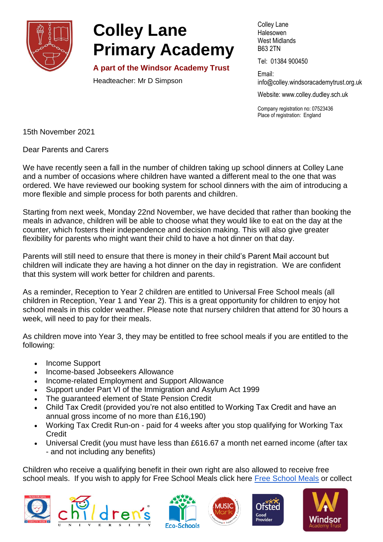

## **Colley Lane Primary Academy**

**A part of the Windsor Academy Trust**

Headteacher: Mr D Simpson

Colley Lane Halesowen West Midlands B63 2TN

Tel: 01384 900450

Email: info@colley[.windsoracademytrust.org.uk](http://www.windsoracademytrust.org.uk/)

Website: www.colley.dudley.sch.uk

Company registration no: 07523436 Place of registration: England

15th November 2021

Dear Parents and Carers

We have recently seen a fall in the number of children taking up school dinners at Colley Lane and a number of occasions where children have wanted a different meal to the one that was ordered. We have reviewed our booking system for school dinners with the aim of introducing a more flexible and simple process for both parents and children.

Starting from next week, Monday 22nd November, we have decided that rather than booking the meals in advance, children will be able to choose what they would like to eat on the day at the counter, which fosters their independence and decision making. This will also give greater flexibility for parents who might want their child to have a hot dinner on that day.

Parents will still need to ensure that there is money in their child's Parent Mail account but children will indicate they are having a hot dinner on the day in registration. We are confident that this system will work better for children and parents.

As a reminder, Reception to Year 2 children are entitled to Universal Free School meals (all children in Reception, Year 1 and Year 2). This is a great opportunity for children to enjoy hot school meals in this colder weather. Please note that nursery children that attend for 30 hours a week, will need to pay for their meals.

As children move into Year 3, they may be entitled to free school meals if you are entitled to the following:

- Income Support
- Income-based Jobseekers Allowance
- Income-related Employment and Support Allowance
- Support under Part VI of the Immigration and Asylum Act 1999
- The guaranteed element of State Pension Credit
- Child Tax Credit (provided you're not also entitled to Working Tax Credit and have an annual gross income of no more than £16,190)
- Working Tax Credit Run-on paid for 4 weeks after you stop qualifying for Working Tax **Credit**
- Universal Credit (you must have less than £616.67 a month net earned income (after tax - and not including any benefits)

Children who receive a qualifying benefit in their own right are also allowed to receive free school meals. If you wish to apply for [Free School Meals](https://www.dudley.gov.uk/resident/your-council/council-tax-and-benefits/benefits/free-school-meals) click here Free School Meals or collect